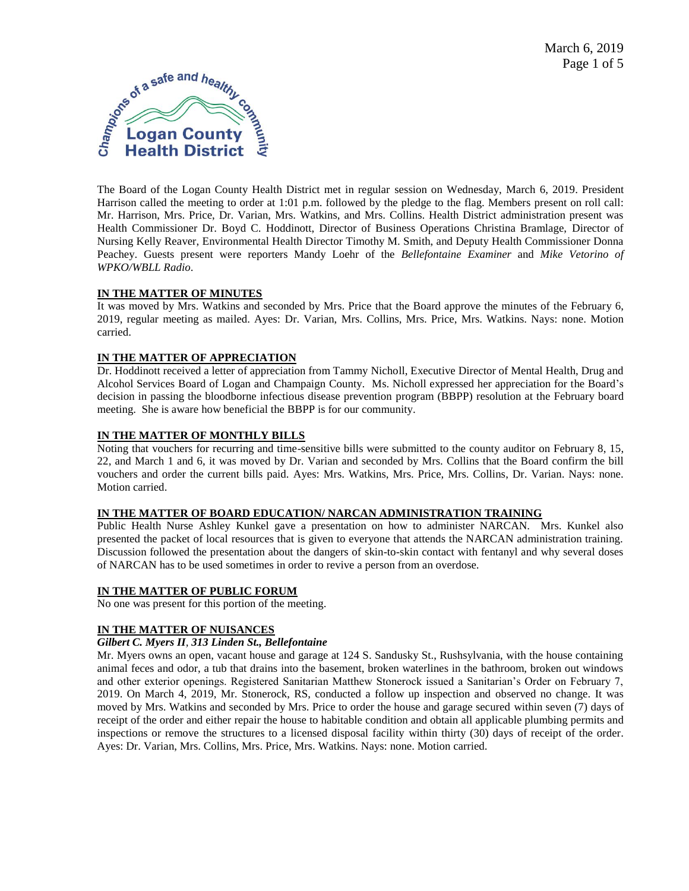

The Board of the Logan County Health District met in regular session on Wednesday, March 6, 2019. President Harrison called the meeting to order at 1:01 p.m. followed by the pledge to the flag. Members present on roll call: Mr. Harrison, Mrs. Price, Dr. Varian, Mrs. Watkins, and Mrs. Collins. Health District administration present was Health Commissioner Dr. Boyd C. Hoddinott, Director of Business Operations Christina Bramlage, Director of Nursing Kelly Reaver, Environmental Health Director Timothy M. Smith, and Deputy Health Commissioner Donna Peachey. Guests present were reporters Mandy Loehr of the *Bellefontaine Examiner* and *Mike Vetorino of WPKO/WBLL Radio*.

# **IN THE MATTER OF MINUTES**

It was moved by Mrs. Watkins and seconded by Mrs. Price that the Board approve the minutes of the February 6, 2019, regular meeting as mailed. Ayes: Dr. Varian, Mrs. Collins, Mrs. Price, Mrs. Watkins. Nays: none. Motion carried.

# **IN THE MATTER OF APPRECIATION**

Dr. Hoddinott received a letter of appreciation from Tammy Nicholl, Executive Director of Mental Health, Drug and Alcohol Services Board of Logan and Champaign County. Ms. Nicholl expressed her appreciation for the Board's decision in passing the bloodborne infectious disease prevention program (BBPP) resolution at the February board meeting. She is aware how beneficial the BBPP is for our community.

# **IN THE MATTER OF MONTHLY BILLS**

Noting that vouchers for recurring and time-sensitive bills were submitted to the county auditor on February 8, 15, 22, and March 1 and 6, it was moved by Dr. Varian and seconded by Mrs. Collins that the Board confirm the bill vouchers and order the current bills paid. Ayes: Mrs. Watkins, Mrs. Price, Mrs. Collins, Dr. Varian. Nays: none. Motion carried.

### **IN THE MATTER OF BOARD EDUCATION/ NARCAN ADMINISTRATION TRAINING**

Public Health Nurse Ashley Kunkel gave a presentation on how to administer NARCAN. Mrs. Kunkel also presented the packet of local resources that is given to everyone that attends the NARCAN administration training. Discussion followed the presentation about the dangers of skin-to-skin contact with fentanyl and why several doses of NARCAN has to be used sometimes in order to revive a person from an overdose.

# **IN THE MATTER OF PUBLIC FORUM**

No one was present for this portion of the meeting.

# **IN THE MATTER OF NUISANCES**

### *Gilbert C. Myers II, 313 Linden St., Bellefontaine*

Mr. Myers owns an open, vacant house and garage at 124 S. Sandusky St., Rushsylvania, with the house containing animal feces and odor, a tub that drains into the basement, broken waterlines in the bathroom, broken out windows and other exterior openings. Registered Sanitarian Matthew Stonerock issued a Sanitarian's Order on February 7, 2019. On March 4, 2019, Mr. Stonerock, RS, conducted a follow up inspection and observed no change. It was moved by Mrs. Watkins and seconded by Mrs. Price to order the house and garage secured within seven (7) days of receipt of the order and either repair the house to habitable condition and obtain all applicable plumbing permits and inspections or remove the structures to a licensed disposal facility within thirty (30) days of receipt of the order. Ayes: Dr. Varian, Mrs. Collins, Mrs. Price, Mrs. Watkins. Nays: none. Motion carried.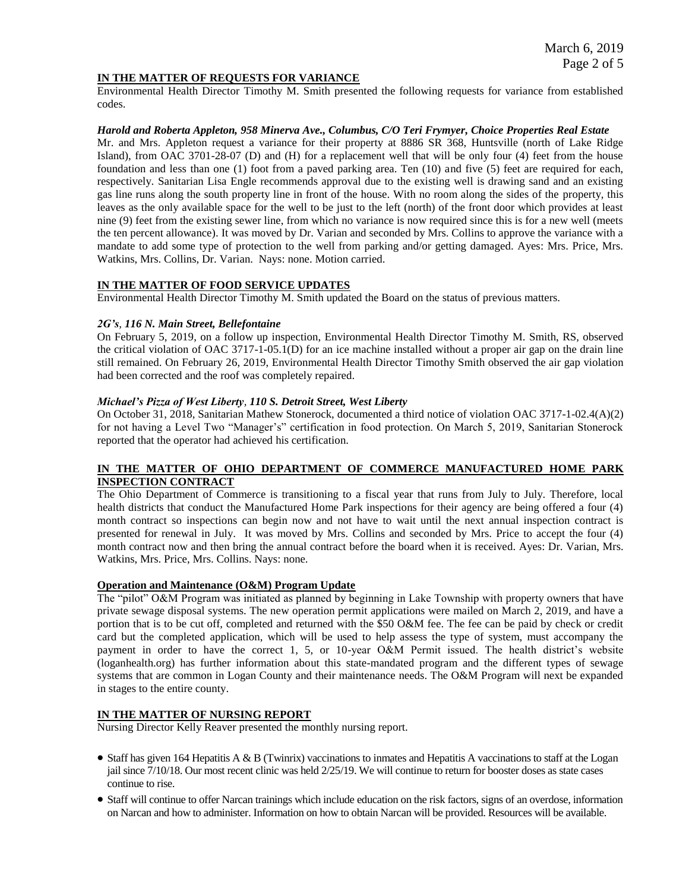# **IN THE MATTER OF REQUESTS FOR VARIANCE**

Environmental Health Director Timothy M. Smith presented the following requests for variance from established codes.

### *Harold and Roberta Appleton, 958 Minerva Ave., Columbus, C/O Teri Frymyer, Choice Properties Real Estate*

Mr. and Mrs. Appleton request a variance for their property at 8886 SR 368, Huntsville (north of Lake Ridge Island), from OAC 3701-28-07 (D) and (H) for a replacement well that will be only four (4) feet from the house foundation and less than one (1) foot from a paved parking area. Ten (10) and five (5) feet are required for each, respectively. Sanitarian Lisa Engle recommends approval due to the existing well is drawing sand and an existing gas line runs along the south property line in front of the house. With no room along the sides of the property, this leaves as the only available space for the well to be just to the left (north) of the front door which provides at least nine (9) feet from the existing sewer line, from which no variance is now required since this is for a new well (meets the ten percent allowance). It was moved by Dr. Varian and seconded by Mrs. Collins to approve the variance with a mandate to add some type of protection to the well from parking and/or getting damaged. Ayes: Mrs. Price, Mrs. Watkins, Mrs. Collins, Dr. Varian. Nays: none. Motion carried.

# **IN THE MATTER OF FOOD SERVICE UPDATES**

Environmental Health Director Timothy M. Smith updated the Board on the status of previous matters.

### *2G's, 116 N. Main Street, Bellefontaine*

On February 5, 2019, on a follow up inspection, Environmental Health Director Timothy M. Smith, RS, observed the critical violation of OAC 3717-1-05.1(D) for an ice machine installed without a proper air gap on the drain line still remained. On February 26, 2019, Environmental Health Director Timothy Smith observed the air gap violation had been corrected and the roof was completely repaired.

### *Michael's Pizza of West Liberty, 110 S. Detroit Street, West Liberty*

On October 31, 2018, Sanitarian Mathew Stonerock, documented a third notice of violation OAC 3717-1-02.4(A)(2) for not having a Level Two "Manager's" certification in food protection. On March 5, 2019, Sanitarian Stonerock reported that the operator had achieved his certification.

# **IN THE MATTER OF OHIO DEPARTMENT OF COMMERCE MANUFACTURED HOME PARK INSPECTION CONTRACT**

The Ohio Department of Commerce is transitioning to a fiscal year that runs from July to July. Therefore, local health districts that conduct the Manufactured Home Park inspections for their agency are being offered a four (4) month contract so inspections can begin now and not have to wait until the next annual inspection contract is presented for renewal in July. It was moved by Mrs. Collins and seconded by Mrs. Price to accept the four (4) month contract now and then bring the annual contract before the board when it is received. Ayes: Dr. Varian, Mrs. Watkins, Mrs. Price, Mrs. Collins. Nays: none.

### **Operation and Maintenance (O&M) Program Update**

The "pilot" O&M Program was initiated as planned by beginning in Lake Township with property owners that have private sewage disposal systems. The new operation permit applications were mailed on March 2, 2019, and have a portion that is to be cut off, completed and returned with the \$50 O&M fee. The fee can be paid by check or credit card but the completed application, which will be used to help assess the type of system, must accompany the payment in order to have the correct 1, 5, or 10-year O&M Permit issued. The health district's website (loganhealth.org) has further information about this state-mandated program and the different types of sewage systems that are common in Logan County and their maintenance needs. The O&M Program will next be expanded in stages to the entire county.

# **IN THE MATTER OF NURSING REPORT**

Nursing Director Kelly Reaver presented the monthly nursing report.

- Staff has given 164 Hepatitis A & B (Twinrix) vaccinations to inmates and Hepatitis A vaccinations to staff at the Logan jail since 7/10/18. Our most recent clinic was held 2/25/19. We will continue to return for booster doses as state cases continue to rise.
- Staff will continue to offer Narcan trainings which include education on the risk factors, signs of an overdose, information on Narcan and how to administer. Information on how to obtain Narcan will be provided. Resources will be available.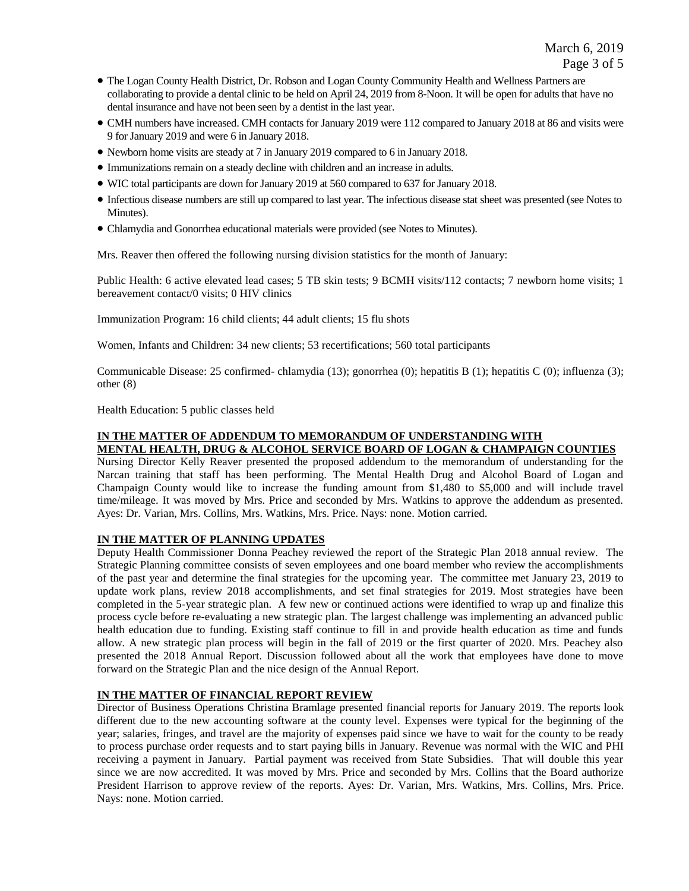- The Logan County Health District, Dr. Robson and Logan County Community Health and Wellness Partners are collaborating to provide a dental clinic to be held on April 24, 2019 from 8-Noon. It will be open for adults that have no dental insurance and have not been seen by a dentist in the last year.
- CMH numbers have increased. CMH contacts for January 2019 were 112 compared to January 2018 at 86 and visits were 9 for January 2019 and were 6 in January 2018.
- Newborn home visits are steady at 7 in January 2019 compared to 6 in January 2018.
- Immunizations remain on a steady decline with children and an increase in adults.
- WIC total participants are down for January 2019 at 560 compared to 637 for January 2018.
- Infectious disease numbers are still up compared to last year. The infectious disease stat sheet was presented (see Notes to Minutes).
- Chlamydia and Gonorrhea educational materials were provided (see Notes to Minutes).

Mrs. Reaver then offered the following nursing division statistics for the month of January:

Public Health: 6 active elevated lead cases; 5 TB skin tests; 9 BCMH visits/112 contacts; 7 newborn home visits; 1 bereavement contact/0 visits; 0 HIV clinics

Immunization Program: 16 child clients; 44 adult clients; 15 flu shots

Women, Infants and Children: 34 new clients; 53 recertifications; 560 total participants

Communicable Disease: 25 confirmed- chlamydia (13); gonorrhea (0); hepatitis B (1); hepatitis C (0); influenza (3); other (8)

Health Education: 5 public classes held

# **IN THE MATTER OF ADDENDUM TO MEMORANDUM OF UNDERSTANDING WITH MENTAL HEALTH, DRUG & ALCOHOL SERVICE BOARD OF LOGAN & CHAMPAIGN COUNTIES**

Nursing Director Kelly Reaver presented the proposed addendum to the memorandum of understanding for the Narcan training that staff has been performing. The Mental Health Drug and Alcohol Board of Logan and Champaign County would like to increase the funding amount from \$1,480 to \$5,000 and will include travel time/mileage. It was moved by Mrs. Price and seconded by Mrs. Watkins to approve the addendum as presented. Ayes: Dr. Varian, Mrs. Collins, Mrs. Watkins, Mrs. Price. Nays: none. Motion carried.

# **IN THE MATTER OF PLANNING UPDATES**

Deputy Health Commissioner Donna Peachey reviewed the report of the Strategic Plan 2018 annual review. The Strategic Planning committee consists of seven employees and one board member who review the accomplishments of the past year and determine the final strategies for the upcoming year. The committee met January 23, 2019 to update work plans, review 2018 accomplishments, and set final strategies for 2019. Most strategies have been completed in the 5-year strategic plan. A few new or continued actions were identified to wrap up and finalize this process cycle before re-evaluating a new strategic plan. The largest challenge was implementing an advanced public health education due to funding. Existing staff continue to fill in and provide health education as time and funds allow. A new strategic plan process will begin in the fall of 2019 or the first quarter of 2020. Mrs. Peachey also presented the 2018 Annual Report. Discussion followed about all the work that employees have done to move forward on the Strategic Plan and the nice design of the Annual Report.

# **IN THE MATTER OF FINANCIAL REPORT REVIEW**

Director of Business Operations Christina Bramlage presented financial reports for January 2019. The reports look different due to the new accounting software at the county level. Expenses were typical for the beginning of the year; salaries, fringes, and travel are the majority of expenses paid since we have to wait for the county to be ready to process purchase order requests and to start paying bills in January. Revenue was normal with the WIC and PHI receiving a payment in January. Partial payment was received from State Subsidies. That will double this year since we are now accredited. It was moved by Mrs. Price and seconded by Mrs. Collins that the Board authorize President Harrison to approve review of the reports. Ayes: Dr. Varian, Mrs. Watkins, Mrs. Collins, Mrs. Price. Nays: none. Motion carried.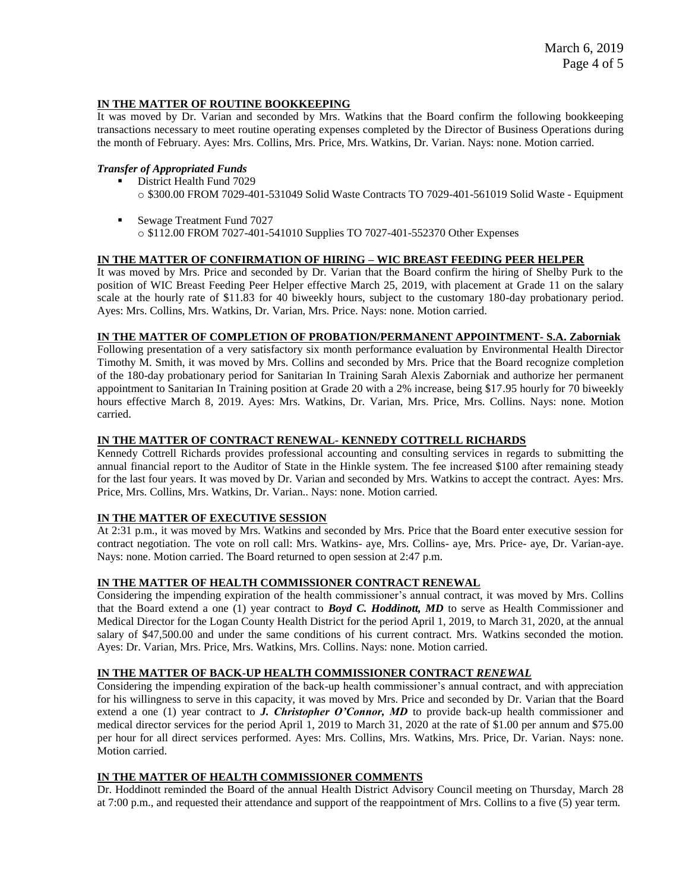# **IN THE MATTER OF ROUTINE BOOKKEEPING**

It was moved by Dr. Varian and seconded by Mrs. Watkins that the Board confirm the following bookkeeping transactions necessary to meet routine operating expenses completed by the Director of Business Operations during the month of February. Ayes: Mrs. Collins, Mrs. Price, Mrs. Watkins, Dr. Varian. Nays: none. Motion carried.

# *Transfer of Appropriated Funds*

- District Health Fund 7029 o \$300.00 FROM 7029-401-531049 Solid Waste Contracts TO 7029-401-561019 Solid Waste - Equipment
- Sewage Treatment Fund 7027 o \$112.00 FROM 7027-401-541010 Supplies TO 7027-401-552370 Other Expenses

### **IN THE MATTER OF CONFIRMATION OF HIRING – WIC BREAST FEEDING PEER HELPER**

It was moved by Mrs. Price and seconded by Dr. Varian that the Board confirm the hiring of Shelby Purk to the position of WIC Breast Feeding Peer Helper effective March 25, 2019, with placement at Grade 11 on the salary scale at the hourly rate of \$11.83 for 40 biweekly hours, subject to the customary 180-day probationary period. Ayes: Mrs. Collins, Mrs. Watkins, Dr. Varian, Mrs. Price. Nays: none. Motion carried.

### **IN THE MATTER OF COMPLETION OF PROBATION/PERMANENT APPOINTMENT- S.A. Zaborniak**

Following presentation of a very satisfactory six month performance evaluation by Environmental Health Director Timothy M. Smith, it was moved by Mrs. Collins and seconded by Mrs. Price that the Board recognize completion of the 180-day probationary period for Sanitarian In Training Sarah Alexis Zaborniak and authorize her permanent appointment to Sanitarian In Training position at Grade 20 with a 2% increase, being \$17.95 hourly for 70 biweekly hours effective March 8, 2019. Ayes: Mrs. Watkins, Dr. Varian, Mrs. Price, Mrs. Collins. Nays: none. Motion carried.

# **IN THE MATTER OF CONTRACT RENEWAL- KENNEDY COTTRELL RICHARDS**

Kennedy Cottrell Richards provides professional accounting and consulting services in regards to submitting the annual financial report to the Auditor of State in the Hinkle system. The fee increased \$100 after remaining steady for the last four years. It was moved by Dr. Varian and seconded by Mrs. Watkins to accept the contract. Ayes: Mrs. Price, Mrs. Collins, Mrs. Watkins, Dr. Varian.. Nays: none. Motion carried.

### **IN THE MATTER OF EXECUTIVE SESSION**

At 2:31 p.m., it was moved by Mrs. Watkins and seconded by Mrs. Price that the Board enter executive session for contract negotiation. The vote on roll call: Mrs. Watkins- aye, Mrs. Collins- aye, Mrs. Price- aye, Dr. Varian-aye. Nays: none. Motion carried. The Board returned to open session at 2:47 p.m.

# **IN THE MATTER OF HEALTH COMMISSIONER CONTRACT RENEWAL**

Considering the impending expiration of the health commissioner's annual contract, it was moved by Mrs. Collins that the Board extend a one (1) year contract to *Boyd C. Hoddinott, MD* to serve as Health Commissioner and Medical Director for the Logan County Health District for the period April 1, 2019, to March 31, 2020, at the annual salary of \$47,500.00 and under the same conditions of his current contract. Mrs. Watkins seconded the motion. Ayes: Dr. Varian, Mrs. Price, Mrs. Watkins, Mrs. Collins. Nays: none. Motion carried.

# **IN THE MATTER OF BACK-UP HEALTH COMMISSIONER CONTRACT** *RENEWAL*

Considering the impending expiration of the back-up health commissioner's annual contract, and with appreciation for his willingness to serve in this capacity, it was moved by Mrs. Price and seconded by Dr. Varian that the Board extend a one (1) year contract to *J. Christopher O'Connor, MD* to provide back-up health commissioner and medical director services for the period April 1, 2019 to March 31, 2020 at the rate of \$1.00 per annum and \$75.00 per hour for all direct services performed. Ayes: Mrs. Collins, Mrs. Watkins, Mrs. Price, Dr. Varian. Nays: none. Motion carried.

### **IN THE MATTER OF HEALTH COMMISSIONER COMMENTS**

Dr. Hoddinott reminded the Board of the annual Health District Advisory Council meeting on Thursday, March 28 at 7:00 p.m., and requested their attendance and support of the reappointment of Mrs. Collins to a five (5) year term.